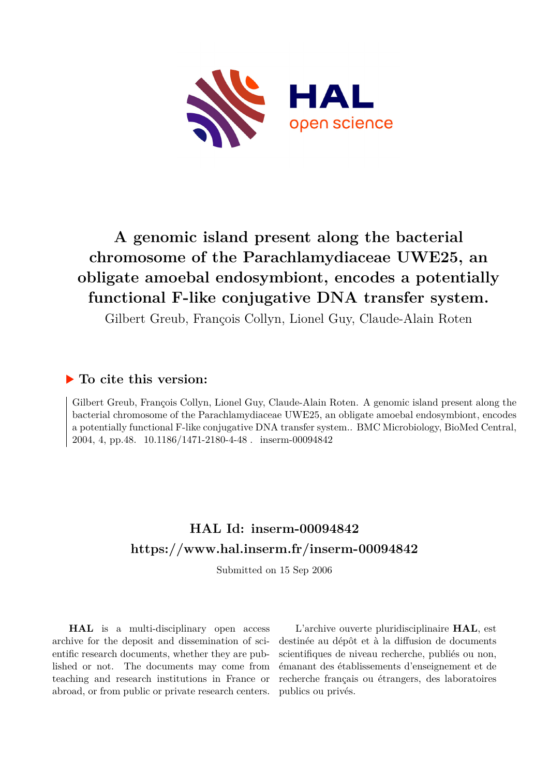

# **A genomic island present along the bacterial chromosome of the Parachlamydiaceae UWE25, an obligate amoebal endosymbiont, encodes a potentially functional F-like conjugative DNA transfer system.**

Gilbert Greub, François Collyn, Lionel Guy, Claude-Alain Roten

# **To cite this version:**

Gilbert Greub, François Collyn, Lionel Guy, Claude-Alain Roten. A genomic island present along the bacterial chromosome of the Parachlamydiaceae UWE25, an obligate amoebal endosymbiont, encodes a potentially functional F-like conjugative DNA transfer system.. BMC Microbiology, BioMed Central, 2004, 4, pp.48. 10.1186/1471-2180-4-48. inserm-00094842

# **HAL Id: inserm-00094842 <https://www.hal.inserm.fr/inserm-00094842>**

Submitted on 15 Sep 2006

**HAL** is a multi-disciplinary open access archive for the deposit and dissemination of scientific research documents, whether they are published or not. The documents may come from teaching and research institutions in France or abroad, or from public or private research centers.

L'archive ouverte pluridisciplinaire **HAL**, est destinée au dépôt et à la diffusion de documents scientifiques de niveau recherche, publiés ou non, émanant des établissements d'enseignement et de recherche français ou étrangers, des laboratoires publics ou privés.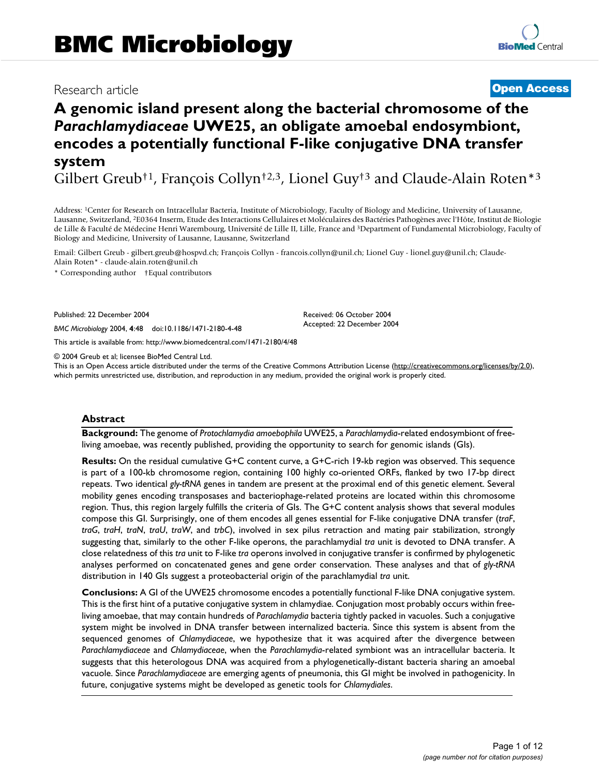## Research article **Contract Contract Contract Contract Contract Contract Contract Contract Contract Contract Contract Contract Contract Contract Contract Contract Contract Contract Contract Contract Contract Contract Contra**

# **A genomic island present along the bacterial chromosome of the**  *Parachlamydiaceae* **UWE25, an obligate amoebal endosymbiont, encodes a potentially functional F-like conjugative DNA transfer system**

Gilbert Greub†1, François Collyn†2,3, Lionel Guy†3 and Claude-Alain Roten\*<sup>3</sup>

Address: <sup>1</sup>Center for Research on Intracellular Bacteria, Institute of Microbiology, Faculty of Biology and Medicine, University of Lausanne, Lausanne, Switzerland, <sup>2</sup>E0364 Inserm, Etude des Interactions Cellulaires et Moléculaires des Bactéries Pathogènes avec l'Hôte, Institut de Biologie de Lille & Faculté de Médecine Henri Warembourg, Université de Lille II, Lille, France and <sup>3</sup>Department of Fundamental Microbiology, Faculty of Biology and Medicine, University of Lausanne, Lausanne, Switzerland

Email: Gilbert Greub - gilbert.greub@hospvd.ch; François Collyn - francois.collyn@unil.ch; Lionel Guy - lionel.guy@unil.ch; Claude-Alain Roten\* - claude-alain.roten@unil.ch

\* Corresponding author †Equal contributors

Published: 22 December 2004

*BMC Microbiology* 2004, **4**:48 doi:10.1186/1471-2180-4-48

[This article is available from: http://www.biomedcentral.com/1471-2180/4/48](http://www.biomedcentral.com/1471-2180/4/48)

© 2004 Greub et al; licensee BioMed Central Ltd.

This is an Open Access article distributed under the terms of the Creative Commons Attribution License [\(http://creativecommons.org/licenses/by/2.0\)](http://creativecommons.org/licenses/by/2.0), which permits unrestricted use, distribution, and reproduction in any medium, provided the original work is properly cited.

Received: 06 October 2004 Accepted: 22 December 2004

#### **Abstract**

**Background:** The genome of *Protochlamydia amoebophila* UWE25, a *Parachlamydia*-related endosymbiont of freeliving amoebae, was recently published, providing the opportunity to search for genomic islands (GIs).

**Results:** On the residual cumulative G+C content curve, a G+C-rich 19-kb region was observed. This sequence is part of a 100-kb chromosome region, containing 100 highly co-oriented ORFs, flanked by two 17-bp direct repeats. Two identical *gly-tRNA* genes in tandem are present at the proximal end of this genetic element. Several mobility genes encoding transposases and bacteriophage-related proteins are located within this chromosome region. Thus, this region largely fulfills the criteria of GIs. The G+C content analysis shows that several modules compose this GI. Surprisingly, one of them encodes all genes essential for F-like conjugative DNA transfer (*traF*, *traG*, *traH*, *traN*, *traU*, *traW*, and *trbC*), involved in sex pilus retraction and mating pair stabilization, strongly suggesting that, similarly to the other F-like operons, the parachlamydial *tra* unit is devoted to DNA transfer. A close relatedness of this *tra* unit to F-like *tra* operons involved in conjugative transfer is confirmed by phylogenetic analyses performed on concatenated genes and gene order conservation. These analyses and that of *gly-tRNA* distribution in 140 GIs suggest a proteobacterial origin of the parachlamydial *tra* unit.

**Conclusions:** A GI of the UWE25 chromosome encodes a potentially functional F-like DNA conjugative system. This is the first hint of a putative conjugative system in chlamydiae. Conjugation most probably occurs within freeliving amoebae, that may contain hundreds of *Parachlamydia* bacteria tightly packed in vacuoles. Such a conjugative system might be involved in DNA transfer between internalized bacteria. Since this system is absent from the sequenced genomes of *Chlamydiaceae*, we hypothesize that it was acquired after the divergence between *Parachlamydiaceae* and *Chlamydiaceae*, when the *Parachlamydia*-related symbiont was an intracellular bacteria. It suggests that this heterologous DNA was acquired from a phylogenetically-distant bacteria sharing an amoebal vacuole. Since *Parachlamydiaceae* are emerging agents of pneumonia, this GI might be involved in pathogenicity. In future, conjugative systems might be developed as genetic tools for *Chlamydiales*.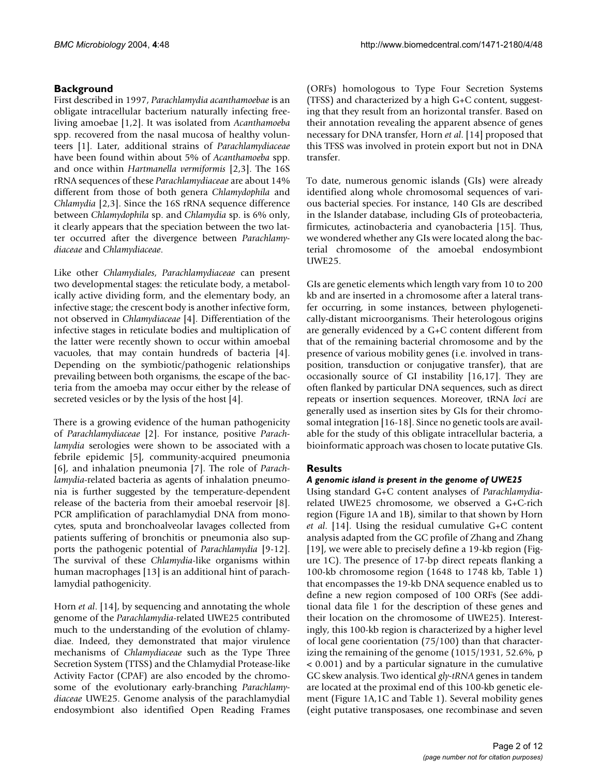### **Background**

First described in 1997, *Parachlamydia acanthamoebae* is an obligate intracellular bacterium naturally infecting freeliving amoebae [1[,2](#page-11-0)]. It was isolated from *Acanthamoeba* spp. recovered from the nasal mucosa of healthy volunteers [1]. Later, additional strains of *Parachlamydiaceae* have been found within about 5% of *Acanthamoeba* spp. and once within *Hartmanella vermiformis* [[2](#page-11-0),3]. The 16S rRNA sequences of these *Parachlamydiaceae* are about 14% different from those of both genera *Chlamydophila* and *Chlamydia* [\[2,](#page-11-0)3]. Since the 16S rRNA sequence difference between *Chlamydophila* sp. and *Chlamydia* sp. is 6% only, it clearly appears that the speciation between the two latter occurred after the divergence between *Parachlamydiaceae* and *Chlamydiaceae*.

Like other *Chlamydiales*, *Parachlamydiaceae* can present two developmental stages: the reticulate body, a metabolically active dividing form, and the elementary body, an infective stage; the crescent body is another infective form, not observed in *Chlamydiaceae* [4]. Differentiation of the infective stages in reticulate bodies and multiplication of the latter were recently shown to occur within amoebal vacuoles, that may contain hundreds of bacteria [4]. Depending on the symbiotic/pathogenic relationships prevailing between both organisms, the escape of the bacteria from the amoeba may occur either by the release of secreted vesicles or by the lysis of the host [4].

There is a growing evidence of the human pathogenicity of *Parachlamydiaceae* [\[2\]](#page-11-0). For instance, positive *Parachlamydia* serologies were shown to be associated with a febrile epidemic [[5](#page-11-1)], community-acquired pneumonia [[6](#page-11-2)], and inhalation pneumonia [\[7\]](#page-11-3). The role of *Parachlamydia*-related bacteria as agents of inhalation pneumonia is further suggested by the temperature-dependent release of the bacteria from their amoebal reservoir [[8](#page-11-4)]. PCR amplification of parachlamydial DNA from monocytes, sputa and bronchoalveolar lavages collected from patients suffering of bronchitis or pneumonia also supports the pathogenic potential of *Parachlamydia* [9[-12](#page-11-5)]. The survival of these *Chlamydia*-like organisms within human macrophages [13] is an additional hint of parachlamydial pathogenicity.

Horn *et al*. [14], by sequencing and annotating the whole genome of the *Parachlamydia*-related UWE25 contributed much to the understanding of the evolution of chlamydiae. Indeed, they demonstrated that major virulence mechanisms of *Chlamydiaceae* such as the Type Three Secretion System (TTSS) and the Chlamydial Protease-like Activity Factor (CPAF) are also encoded by the chromosome of the evolutionary early-branching *Parachlamydiaceae* UWE25. Genome analysis of the parachlamydial endosymbiont also identified Open Reading Frames

(ORFs) homologous to Type Four Secretion Systems (TFSS) and characterized by a high G+C content, suggesting that they result from an horizontal transfer. Based on their annotation revealing the apparent absence of genes necessary for DNA transfer, Horn *et al*. [14] proposed that this TFSS was involved in protein export but not in DNA transfer.

To date, numerous genomic islands (GIs) were already identified along whole chromosomal sequences of various bacterial species. For instance, 140 GIs are described in the Islander database, including GIs of proteobacteria, firmicutes, actinobacteria and cyanobacteria [15]. Thus, we wondered whether any GIs were located along the bacterial chromosome of the amoebal endosymbiont UWE25.

GIs are genetic elements which length vary from 10 to 200 kb and are inserted in a chromosome after a lateral transfer occurring, in some instances, between phylogenetically-distant microorganisms. Their heterologous origins are generally evidenced by a G+C content different from that of the remaining bacterial chromosome and by the presence of various mobility genes (i.e. involved in transposition, transduction or conjugative transfer), that are occasionally source of GI instability [16,17]. They are often flanked by particular DNA sequences, such as direct repeats or insertion sequences. Moreover, tRNA *loci* are generally used as insertion sites by GIs for their chromosomal integration [16-18]. Since no genetic tools are available for the study of this obligate intracellular bacteria, a bioinformatic approach was chosen to locate putative GIs.

### **Results**

#### *A genomic island is present in the genome of UWE25*

Using standard G+C content analyses of *Parachlamydia*related UWE25 chromosome, we observed a G+C-rich region (Figure 1A and 1B), similar to that shown by Horn *et al*. [14]. Using the residual cumulative G+C content analysis adapted from the GC profile of Zhang and Zhang [19], we were able to precisely define a 19-kb region (Figure 1C). The presence of 17-bp direct repeats flanking a 100-kb chromosome region (1648 to 1748 kb, Table [1](#page-4-0)) that encompasses the 19-kb DNA sequence enabled us to define a new region composed of 100 ORFs (See additional data file 1 for the description of these genes and their location on the chromosome of UWE25). Interestingly, this 100-kb region is characterized by a higher level of local gene coorientation (75/100) than that characterizing the remaining of the genome (1015/1931, 52.6%, p < 0.001) and by a particular signature in the cumulative GC skew analysis. Two identical *gly-tRNA* genes in tandem are located at the proximal end of this 100-kb genetic element (Figure 1A,1C and Table [1\)](#page-4-0). Several mobility genes (eight putative transposases, one recombinase and seven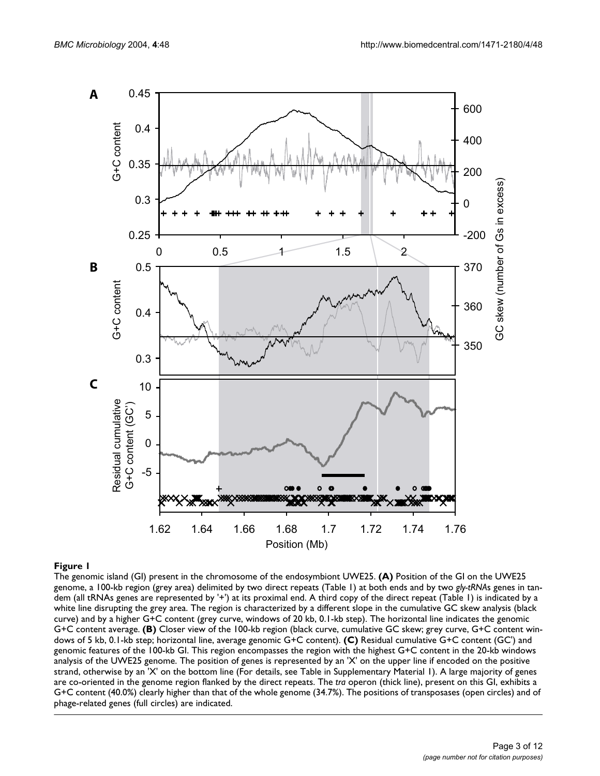

#### The genomic island (GI) pr **Figure 1** esent in the chromosome of the endosymbiont UWE25

The genomic island (GI) present in the chromosome of the endosymbiont UWE25. **(A)** Position of the GI on the UWE25 genome, a 100-kb region (grey area) delimited by two direct repeats (Table 1) at both ends and by two *gly-tRNA*s genes in tandem (all tRNAs genes are represented by '+') at its proximal end. A third copy of the direct repeat (Table 1) is indicated by a white line disrupting the grey area. The region is characterized by a different slope in the cumulative GC skew analysis (black curve) and by a higher G+C content (grey curve, windows of 20 kb, 0.1-kb step). The horizontal line indicates the genomic G+C content average. **(B)** Closer view of the 100-kb region (black curve, cumulative GC skew; grey curve, G+C content windows of 5 kb, 0.1-kb step; horizontal line, average genomic G+C content). **(C)** Residual cumulative G+C content (GC') and genomic features of the 100-kb GI. This region encompasses the region with the highest G+C content in the 20-kb windows analysis of the UWE25 genome. The position of genes is represented by an 'X' on the upper line if encoded on the positive strand, otherwise by an 'X' on the bottom line (For details, see Table in Supplementary Material 1). A large majority of genes are co-oriented in the genome region flanked by the direct repeats. The *tra* operon (thick line), present on this GI, exhibits a G+C content (40.0%) clearly higher than that of the whole genome (34.7%). The positions of transposases (open circles) and of phage-related genes (full circles) are indicated.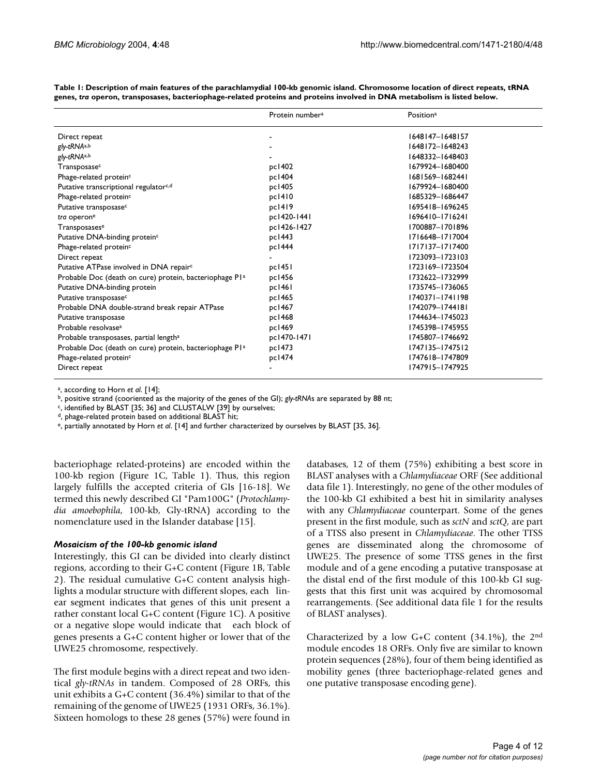|                                                                     | Protein number <sup>a</sup> | Position <sup>a</sup> |
|---------------------------------------------------------------------|-----------------------------|-----------------------|
| Direct repeat                                                       |                             | 1648147-1648157       |
| gly-tRNAa,b                                                         |                             | 1648172-1648243       |
| gly-tRNAa,b                                                         |                             | 1648332-1648403       |
| Transposasec                                                        | pc1402                      | 1679924-1680400       |
| Phage-related protein <sup>c</sup>                                  | pc1404                      | 1681569-1682441       |
| Putative transcriptional regulator <sup>c,d</sup>                   | pc1405                      | 1679924-1680400       |
| Phage-related protein <sup>c</sup>                                  | pc1410                      | 1685329-1686447       |
| Putative transposase <sup>c</sup>                                   | pc1419                      | 1695418-1696245       |
| tra operon <sup>e</sup>                                             | pc1420-1441                 | 1696410-1716241       |
| Transposasese                                                       | pc1426-1427                 | 1700887-1701896       |
| Putative DNA-binding protein <sup>c</sup>                           | pc1443                      | 1716648-1717004       |
| Phage-related protein <sup>c</sup>                                  | pc1444                      | 1717137-1717400       |
| Direct repeat                                                       |                             | 1723093-1723103       |
| Putative ATPase involved in DNA repair <sup>c</sup>                 | pc1451                      | 1723169-1723504       |
| Probable Doc (death on cure) protein, bacteriophage Pl <sup>a</sup> | pc1456                      | 1732622-1732999       |
| Putative DNA-binding protein                                        | pc1461                      | 1735745-1736065       |
| Putative transposase <sup>c</sup>                                   | pc1465                      | 1740371-1741198       |
| Probable DNA double-strand break repair ATPase                      | pc1467                      | 1742079-1744181       |
| Putative transposase                                                | pc1468                      | 1744634-1745023       |
| Probable resolvase <sup>a</sup>                                     | pc1469                      | 1745398-1745955       |
| Probable transposases, partial length <sup>a</sup>                  | pc1470-1471                 | 1745807-1746692       |
| Probable Doc (death on cure) protein, bacteriophage Pl <sup>a</sup> | pc1473                      | 1747135-1747512       |
| Phage-related protein <sup>c</sup>                                  | pc1474                      | 1747618-1747809       |
| Direct repeat                                                       |                             | 1747915-1747925       |

<span id="page-4-0"></span>**Table 1: Description of main features of the parachlamydial 100-kb genomic island. Chromosome location of direct repeats, tRNA genes,** *tra* **operon, transposases, bacteriophage-related proteins and proteins involved in DNA metabolism is listed below.**

a , according to Horn *et al*. [14];

<sup>b</sup>, positive strand (cooriented as the majority of the genes of the GI); *gly-tRNAs* are separated by 88 nt;

<sup>c</sup>, identified by BLAST [35; 36] and CLUSTALW [39] by ourselves;

d, phage-related protein based on additional BLAST hit;

e, partially annotated by Horn *et al*. [14] and further characterized by ourselves by BLAST [35, 36].

bacteriophage related-proteins) are encoded within the 100-kb region (Figure 1C, Table [1](#page-4-0)). Thus, this region largely fulfills the accepted criteria of GIs [16-18]. We termed this newly described GI "Pam100G" (*Protochlamydia amoebophila*, 100-kb, Gly-tRNA) according to the nomenclature used in the Islander database [15].

#### *Mosaicism of the 100-kb genomic island*

Interestingly, this GI can be divided into clearly distinct regions, according to their G+C content (Figure 1B, Table 2). The residual cumulative G+C content analysis highlights a modular structure with different slopes, each linear segment indicates that genes of this unit present a rather constant local G+C content (Figure 1C). A positive or a negative slope would indicate that each block of genes presents a G+C content higher or lower that of the UWE25 chromosome, respectively.

The first module begins with a direct repeat and two identical *gly-tRNAs* in tandem. Composed of 28 ORFs, this unit exhibits a G+C content (36.4%) similar to that of the remaining of the genome of UWE25 (1931 ORFs, 36.1%). Sixteen homologs to these 28 genes (57%) were found in

databases, 12 of them (75%) exhibiting a best score in BLAST analyses with a *Chlamydiaceae* ORF (See additional data file 1). Interestingly, no gene of the other modules of the 100-kb GI exhibited a best hit in similarity analyses with any *Chlamydiaceae* counterpart. Some of the genes present in the first module, such as *sctN* and *sctQ*, are part of a TTSS also present in *Chlamydiaceae*. The other TTSS genes are disseminated along the chromosome of UWE25. The presence of some TTSS genes in the first module and of a gene encoding a putative transposase at the distal end of the first module of this 100-kb GI suggests that this first unit was acquired by chromosomal rearrangements. (See additional data file 1 for the results of BLAST analyses).

Characterized by a low G+C content (34.1%), the 2nd module encodes 18 ORFs. Only five are similar to known protein sequences (28%), four of them being identified as mobility genes (three bacteriophage-related genes and one putative transposase encoding gene).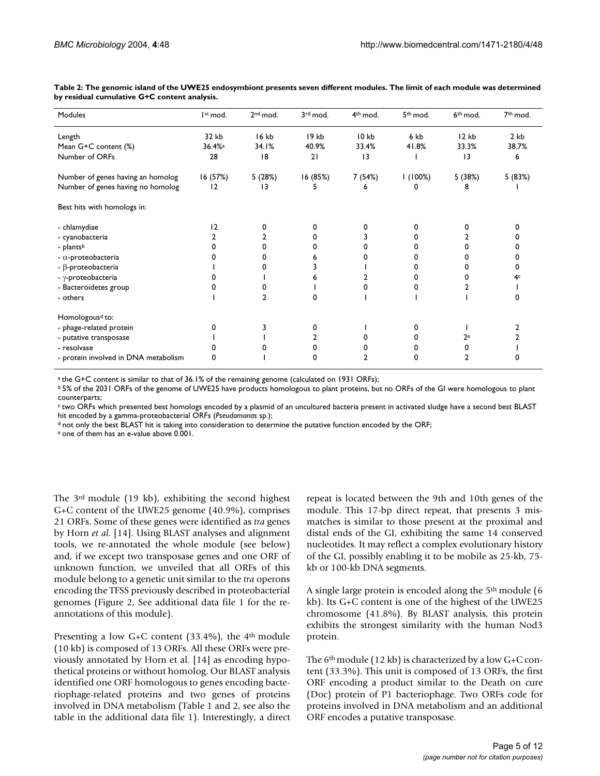| Modules                              | Ist mod.             | 2 <sup>nd</sup> mod. | 3rd mod. | 4 <sup>th</sup> mod. | 5 <sup>th</sup> mod. | 6 <sup>th</sup> mod. | 7 <sup>th</sup> mod. |
|--------------------------------------|----------------------|----------------------|----------|----------------------|----------------------|----------------------|----------------------|
| Length                               | 32 kb                | 16 kb                | 19 kb    | 10 <sub>kb</sub>     | 6 kb                 | 12kb                 | 2 <sub>kb</sub>      |
| Mean G+C content (%)                 | $36.4%$ <sup>a</sup> | 34.I%                | 40.9%    | 33.4%                | 41.8%                | 33.3%                | 38.7%                |
| Number of ORFs                       | 28                   | 8                    | 21       | 3                    |                      | 13                   | 6                    |
| Number of genes having an homolog    | 16 (57%)             | 5 (28%)              | 16 (85%) | 7 (54%)              | 1(100%)              | 5 (38%)              | 5 (83%)              |
| Number of genes having no homolog    | 12                   | 13                   | 5        | 6                    | 0                    | 8                    |                      |
| Best hits with homologs in:          |                      |                      |          |                      |                      |                      |                      |
| - chlamydiae                         | 12                   | 0                    |          | O                    | 0                    | o                    |                      |
| - cyanobacteria                      |                      |                      |          |                      | 0                    |                      |                      |
| - plantsb                            | 0                    | 0                    |          |                      | 0                    |                      |                      |
| - $\alpha$ -proteobacteria           | O                    | 0                    |          |                      | 0                    |                      |                      |
| - β-proteobacteria                   |                      |                      |          |                      | 0                    |                      |                      |
| - γ-proteobacteria                   |                      |                      |          |                      | 0                    |                      | 4¢                   |
| - Bacteroidetes group                | o                    |                      |          |                      | 0                    |                      |                      |
| - others                             |                      | 2                    | o        |                      |                      |                      |                      |
| Homologous <sup>d</sup> to:          |                      |                      |          |                      |                      |                      |                      |
| - phage-related protein              | 0                    |                      | 0        |                      | 0                    |                      |                      |
| - putative transposase               |                      |                      | 2        |                      | 0                    | $2^e$                |                      |
| - resolvase                          |                      |                      | n        |                      | 0                    | 0                    |                      |
| - protein involved in DNA metabolism | 0                    |                      | o        |                      | 0                    | 2                    |                      |

**Table 2: The genomic island of the UWE25 endosymbiont presents seven different modules. The limit of each module was determined by residual cumulative G+C content analysis.**

a the G+C content is similar to that of 36.1% of the remaining genome (calculated on 1931 ORFs);

b 5% of the 2031 ORFs of the genome of UWE25 have products homologous to plant proteins, but no ORFs of the GI were homologous to plant counterparts;

ctwo ORFs which presented best homologs encoded by a plasmid of an uncultured bacteria present in activated sludge have a second best BLAST hit encoded by a gamma-proteobacterial ORFs (*Pseudomonas* sp.);

d not only the best BLAST hit is taking into consideration to determine the putative function encoded by the ORF;

e one of them has an e-value above 0.001.

The 3rd module (19 kb), exhibiting the second highest G+C content of the UWE25 genome (40.9%), comprises 21 ORFs. Some of these genes were identified as *tra* genes by Horn *et al*. [14]. Using BLAST analyses and alignment tools, we re-annotated the whole module (see below) and, if we except two transposase genes and one ORF of unknown function, we unveiled that all ORFs of this module belong to a genetic unit similar to the *tra* operons encoding the TFSS previously described in proteobacterial genomes (Figure 2, See additional data file 1 for the reannotations of this module).

Presenting a low G+C content (33.4%), the 4<sup>th</sup> module (10 kb) is composed of 13 ORFs. All these ORFs were previously annotated by Horn et al. [14] as encoding hypothetical proteins or without homolog. Our BLAST analysis identified one ORF homologous to genes encoding bacteriophage-related proteins and two genes of proteins involved in DNA metabolism (Table [1](#page-4-0) and 2, see also the table in the additional data file 1). Interestingly, a direct repeat is located between the 9th and 10th genes of the module. This 17-bp direct repeat, that presents 3 mismatches is similar to those present at the proximal and distal ends of the GI, exhibiting the same 14 conserved nucleotides. It may reflect a complex evolutionary history of the GI, possibly enabling it to be mobile as 25-kb, 75 kb or 100-kb DNA segments.

A single large protein is encoded along the 5th module (6 kb). Its G+C content is one of the highest of the UWE25 chromosome (41.8%). By BLAST analysis, this protein exhibits the strongest similarity with the human Nod3 protein.

The  $6<sup>th</sup>$  module (12 kb) is characterized by a low G+C content (33.3%). This unit is composed of 13 ORFs, the first ORF encoding a product similar to the Death on cure (Doc) protein of P1 bacteriophage. Two ORFs code for proteins involved in DNA metabolism and an additional ORF encodes a putative transposase.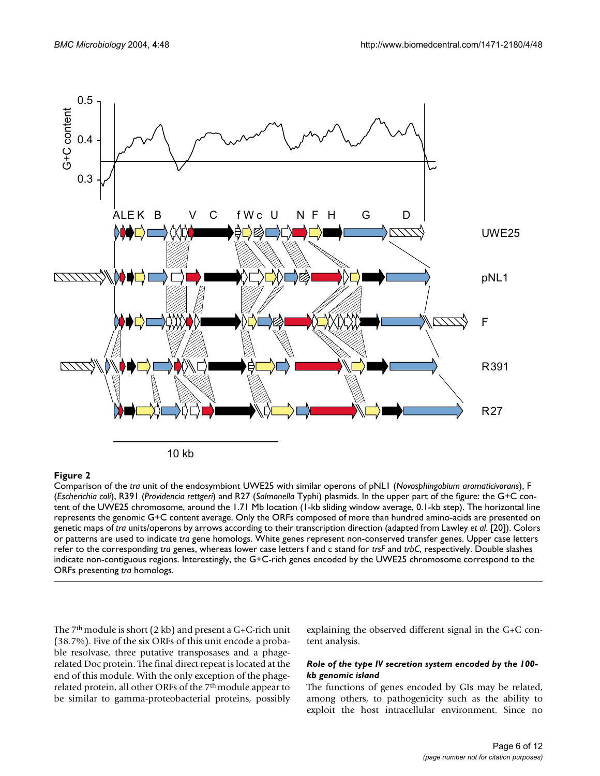

Figure 2 and 2008 and 2008 and 2008 and 2008 and 2008 and 2008 and 2008 and 2008 and 2008 and 2008 and 2008 an Comparison of the *tra* unit of the endosymbiont UWE25 with similar operons of pNL1 (*Novosphingobium aromaticivorans*), F (*Escherichia coli*), R391 (*Providencia rettgeri*) and R27 (*Salmonella* Typhi) plasmids. In the upper part of the figure: the G+C content of the UWE25 chromosome, around the 1.71 Mb location (1-kb sliding window average, 0.1-kb step). The horizontal line represents the genomic G+C content average. Only the ORFs composed of more than hundred amino-acids are presented on genetic maps of *tra* units/operons by arrows according to their transcription direction (adapted from Lawley *et al*. [20]). Colors or patterns are used to indicate *tra* gene homologs. White genes represent non-conserved transfer genes. Upper case letters refer to the corresponding *tra* genes, whereas lower case letters f and c stand for *trsF* and *trbC*, respectively. Double slashes indicate non-contiguous regions. Interestingly, the G+C-rich genes encoded by the UWE25 chromosome correspond to the

The 7<sup>th</sup> module is short (2 kb) and present a G+C-rich unit (38.7%). Five of the six ORFs of this unit encode a probable resolvase, three putative transposases and a phagerelated Doc protein. The final direct repeat is located at the end of this module. With the only exception of the phagerelated protein, all other ORFs of the 7<sup>th</sup> module appear to be similar to gamma-proteobacterial proteins, possibly explaining the observed different signal in the G+C content analysis.

#### *Role of the type IV secretion system encoded by the 100 kb genomic island*

The functions of genes encoded by GIs may be related, among others, to pathogenicity such as the ability to exploit the host intracellular environment. Since no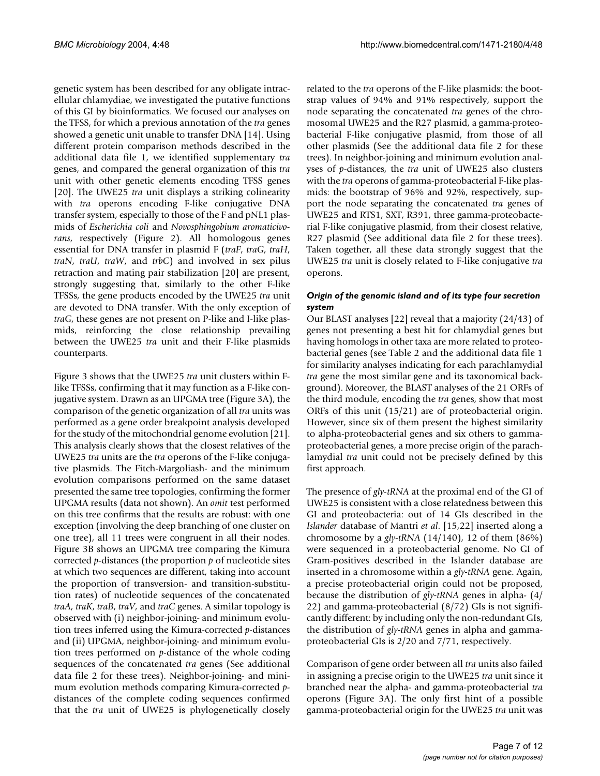genetic system has been described for any obligate intracellular chlamydiae, we investigated the putative functions of this GI by bioinformatics. We focused our analyses on the TFSS, for which a previous annotation of the *tra* genes showed a genetic unit unable to transfer DNA [14]. Using different protein comparison methods described in the additional data file 1, we identified supplementary *tra* genes, and compared the general organization of this *tra* unit with other genetic elements encoding TFSS genes [20]. The UWE25 *tra* unit displays a striking colinearity with *tra* operons encoding F-like conjugative DNA transfer system, especially to those of the F and pNL1 plasmids of *Escherichia coli* and *Novosphingobium aromaticivorans*, respectively (Figure 2). All homologous genes essential for DNA transfer in plasmid F (*traF*, *traG*, *traH*, *traN*, *traU*, *traW*, and *trbC*) and involved in sex pilus retraction and mating pair stabilization [20] are present, strongly suggesting that, similarly to the other F-like TFSSs, the gene products encoded by the UWE25 *tra* unit are devoted to DNA transfer. With the only exception of *traG*, these genes are not present on P-like and I-like plasmids, reinforcing the close relationship prevailing between the UWE25 *tra* unit and their F-like plasmids counterparts.

Figure [3](#page-8-0) shows that the UWE25 *tra* unit clusters within Flike TFSSs, confirming that it may function as a F-like conjugative system. Drawn as an UPGMA tree (Figure [3](#page-8-0)A), the comparison of the genetic organization of all *tra* units was performed as a gene order breakpoint analysis developed for the study of the mitochondrial genome evolution [21]. This analysis clearly shows that the closest relatives of the UWE25 *tra* units are the *tra* operons of the F-like conjugative plasmids. The Fitch-Margoliash- and the minimum evolution comparisons performed on the same dataset presented the same tree topologies, confirming the former UPGMA results (data not shown). An *omit* test performed on this tree confirms that the results are robust: with one exception (involving the deep branching of one cluster on one tree), all 11 trees were congruent in all their nodes. Figure [3B](#page-8-0) shows an UPGMA tree comparing the Kimura corrected *p*-distances (the proportion *p* of nucleotide sites at which two sequences are different, taking into account the proportion of transversion- and transition-substitution rates) of nucleotide sequences of the concatenated *traA*, *traK*, *traB*, *traV*, and *traC* genes. A similar topology is observed with (i) neighbor-joining- and minimum evolution trees inferred using the Kimura-corrected *p*-distances and (ii) UPGMA, neighbor-joining- and minimum evolution trees performed on *p*-distance of the whole coding sequences of the concatenated *tra* genes (See additional data file 2 for these trees). Neighbor-joining- and minimum evolution methods comparing Kimura-corrected *p*distances of the complete coding sequences confirmed that the *tra* unit of UWE25 is phylogenetically closely related to the *tra* operons of the F-like plasmids: the bootstrap values of 94% and 91% respectively, support the node separating the concatenated *tra* genes of the chromosomal UWE25 and the R27 plasmid, a gamma-proteobacterial F-like conjugative plasmid, from those of all other plasmids (See the additional data file 2 for these trees). In neighbor-joining and minimum evolution analyses of *p*-distances, the *tra* unit of UWE25 also clusters with the *tra* operons of gamma-proteobacterial F-like plasmids: the bootstrap of 96% and 92%, respectively, support the node separating the concatenated *tra* genes of UWE25 and RTS1, SXT, R391, three gamma-proteobacterial F-like conjugative plasmid, from their closest relative, R27 plasmid (See additional data file 2 for these trees). Taken together, all these data strongly suggest that the UWE25 *tra* unit is closely related to F-like conjugative *tra* operons.

#### *Origin of the genomic island and of its type four secretion system*

Our BLAST analyses [22] reveal that a majority (24/43) of genes not presenting a best hit for chlamydial genes but having homologs in other taxa are more related to proteobacterial genes (see Table 2 and the additional data file 1 for similarity analyses indicating for each parachlamydial *tra* gene the most similar gene and its taxonomical background). Moreover, the BLAST analyses of the 21 ORFs of the third module, encoding the *tra* genes, show that most ORFs of this unit (15/21) are of proteobacterial origin. However, since six of them present the highest similarity to alpha-proteobacterial genes and six others to gammaproteobacterial genes, a more precise origin of the parachlamydial *tra* unit could not be precisely defined by this first approach.

The presence of *gly-tRNA* at the proximal end of the GI of UWE25 is consistent with a close relatedness between this GI and proteobacteria: out of 14 GIs described in the *Islander* database of Mantri *et al*. [15,22] inserted along a chromosome by a *gly-tRNA* (14/140), 12 of them (86%) were sequenced in a proteobacterial genome. No GI of Gram-positives described in the Islander database are inserted in a chromosome within a *gly-tRNA* gene. Again, a precise proteobacterial origin could not be proposed, because the distribution of *gly-tRNA* genes in alpha- (4/ 22) and gamma-proteobacterial (8/72) GIs is not significantly different: by including only the non-redundant GIs, the distribution of *gly-tRNA* genes in alpha and gammaproteobacterial GIs is 2/20 and 7/71, respectively.

Comparison of gene order between all *tra* units also failed in assigning a precise origin to the UWE25 *tra* unit since it branched near the alpha- and gamma-proteobacterial *tra* operons (Figure [3](#page-8-0)A). The only first hint of a possible gamma-proteobacterial origin for the UWE25 *tra* unit was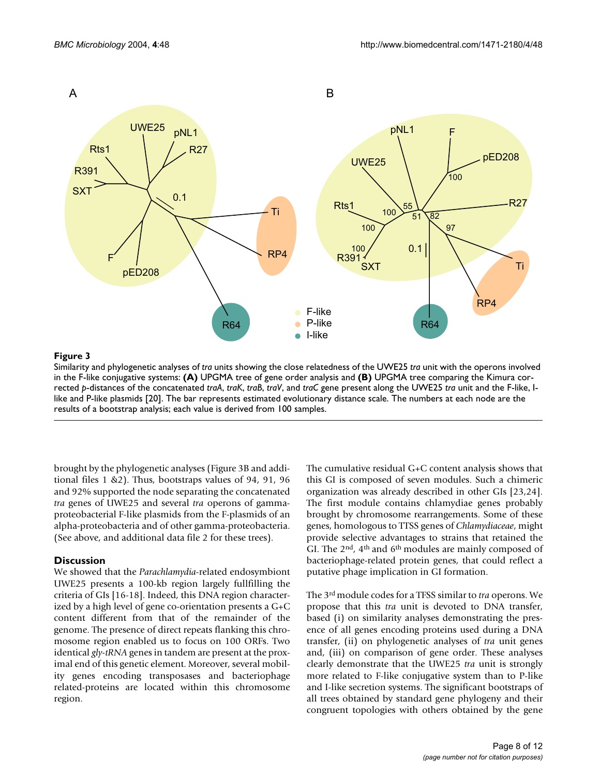<span id="page-8-0"></span>

#### in the F-like conjugative systems Similarity and phylogenetic analyses of **Figure 3** *tra* units showing the close relatedness of the UWE25 *tra* unit with the operons involved

Similarity and phylogenetic analyses of *tra* units showing the close relatedness of the UWE25 *tra* unit with the operons involved in the F-like conjugative systems: **(A)** UPGMA tree of gene order analysis and **(B)** UPGMA tree comparing the Kimura corrected *p*-distances of the concatenated *traA*, *traK*, *traB*, *traV*, and *traC* gene present along the UWE25 *tra* unit and the F-like, Ilike and P-like plasmids [20]. The bar represents estimated evolutionary distance scale. The numbers at each node are the results of a bootstrap analysis; each value is derived from 100 samples.

brought by the phylogenetic analyses (Figure [3B](#page-8-0) and additional files 1 &2). Thus, bootstraps values of 94, 91, 96 and 92% supported the node separating the concatenated *tra* genes of UWE25 and several *tra* operons of gammaproteobacterial F-like plasmids from the F-plasmids of an alpha-proteobacteria and of other gamma-proteobacteria. (See above, and additional data file 2 for these trees).

#### **Discussion**

We showed that the *Parachlamydia*-related endosymbiont UWE25 presents a 100-kb region largely fullfilling the criteria of GIs [16-18]. Indeed, this DNA region characterized by a high level of gene co-orientation presents a G+C content different from that of the remainder of the genome. The presence of direct repeats flanking this chromosome region enabled us to focus on 100 ORFs. Two identical *gly-tRNA* genes in tandem are present at the proximal end of this genetic element. Moreover, several mobility genes encoding transposases and bacteriophage related-proteins are located within this chromosome region.

The cumulative residual G+C content analysis shows that this GI is composed of seven modules. Such a chimeric organization was already described in other GIs [23,24]. The first module contains chlamydiae genes probably brought by chromosome rearrangements. Some of these genes, homologous to TTSS genes of *Chlamydiaceae*, might provide selective advantages to strains that retained the GI. The 2<sup>nd</sup>, 4<sup>th</sup> and 6<sup>th</sup> modules are mainly composed of bacteriophage-related protein genes, that could reflect a putative phage implication in GI formation.

The 3rd module codes for a TFSS similar to *tra* operons. We propose that this *tra* unit is devoted to DNA transfer, based (i) on similarity analyses demonstrating the presence of all genes encoding proteins used during a DNA transfer, (ii) on phylogenetic analyses of *tra* unit genes and, (iii) on comparison of gene order. These analyses clearly demonstrate that the UWE25 *tra* unit is strongly more related to F-like conjugative system than to P-like and I-like secretion systems. The significant bootstraps of all trees obtained by standard gene phylogeny and their congruent topologies with others obtained by the gene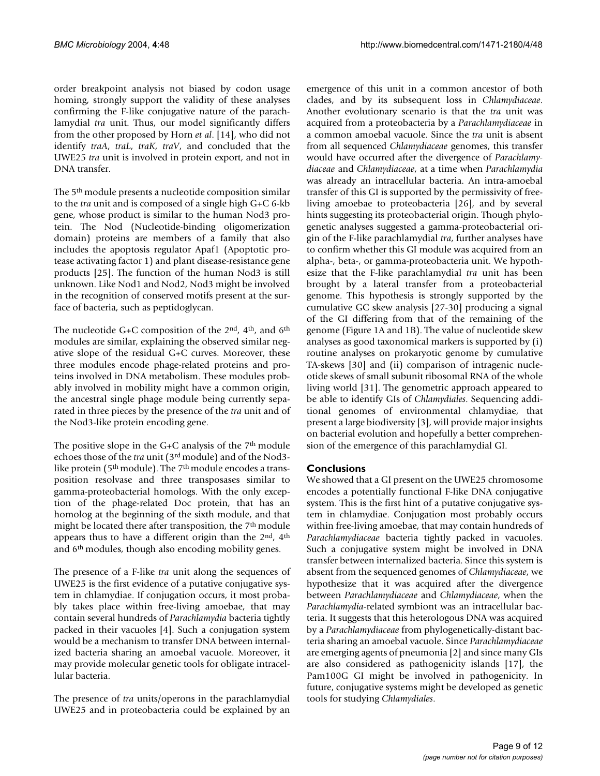order breakpoint analysis not biased by codon usage homing, strongly support the validity of these analyses confirming the F-like conjugative nature of the parachlamydial *tra* unit. Thus, our model significantly differs from the other proposed by Horn *et al*. [14], who did not identify *traA*, *traL*, *traK*, *traV*, and concluded that the UWE25 *tra* unit is involved in protein export, and not in DNA transfer.

The 5<sup>th</sup> module presents a nucleotide composition similar to the *tra* unit and is composed of a single high G+C 6-kb gene, whose product is similar to the human Nod3 protein. The Nod (Nucleotide-binding oligomerization domain) proteins are members of a family that also includes the apoptosis regulator Apaf1 (Apoptotic protease activating factor 1) and plant disease-resistance gene products [25]. The function of the human Nod3 is still unknown. Like Nod1 and Nod2, Nod3 might be involved in the recognition of conserved motifs present at the surface of bacteria, such as peptidoglycan.

The nucleotide G+C composition of the  $2<sup>nd</sup>$ ,  $4<sup>th</sup>$ , and  $6<sup>th</sup>$ modules are similar, explaining the observed similar negative slope of the residual G+C curves. Moreover, these three modules encode phage-related proteins and proteins involved in DNA metabolism. These modules probably involved in mobility might have a common origin, the ancestral single phage module being currently separated in three pieces by the presence of the *tra* unit and of the Nod3-like protein encoding gene.

The positive slope in the  $G+C$  analysis of the  $7<sup>th</sup>$  module echoes those of the *tra* unit (3rd module) and of the Nod3 like protein (5<sup>th</sup> module). The 7<sup>th</sup> module encodes a transposition resolvase and three transposases similar to gamma-proteobacterial homologs. With the only exception of the phage-related Doc protein, that has an homolog at the beginning of the sixth module, and that might be located there after transposition, the 7th module appears thus to have a different origin than the 2<sup>nd</sup>, 4<sup>th</sup> and 6th modules, though also encoding mobility genes.

The presence of a F-like *tra* unit along the sequences of UWE25 is the first evidence of a putative conjugative system in chlamydiae. If conjugation occurs, it most probably takes place within free-living amoebae, that may contain several hundreds of *Parachlamydia* bacteria tightly packed in their vacuoles [4]. Such a conjugation system would be a mechanism to transfer DNA between internalized bacteria sharing an amoebal vacuole. Moreover, it may provide molecular genetic tools for obligate intracellular bacteria.

The presence of *tra* units/operons in the parachlamydial UWE25 and in proteobacteria could be explained by an emergence of this unit in a common ancestor of both clades, and by its subsequent loss in *Chlamydiaceae*. Another evolutionary scenario is that the *tra* unit was acquired from a proteobacteria by a *Parachlamydiaceae* in a common amoebal vacuole. Since the *tra* unit is absent from all sequenced *Chlamydiaceae* genomes, this transfer would have occurred after the divergence of *Parachlamydiaceae* and *Chlamydiaceae*, at a time when *Parachlamydia* was already an intracellular bacteria. An intra-amoebal transfer of this GI is supported by the permissivity of freeliving amoebae to proteobacteria [26], and by several hints suggesting its proteobacterial origin. Though phylogenetic analyses suggested a gamma-proteobacterial origin of the F-like parachlamydial *tra*, further analyses have to confirm whether this GI module was acquired from an alpha-, beta-, or gamma-proteobacteria unit. We hypothesize that the F-like parachlamydial *tra* unit has been brought by a lateral transfer from a proteobacterial genome. This hypothesis is strongly supported by the cumulative GC skew analysis [27-30] producing a signal of the GI differing from that of the remaining of the genome (Figure 1A and 1B). The value of nucleotide skew analyses as good taxonomical markers is supported by (i) routine analyses on prokaryotic genome by cumulative TA-skews [30] and (ii) comparison of intragenic nucleotide skews of small subunit ribosomal RNA of the whole living world [31]. The genometric approach appeared to be able to identify GIs of *Chlamydiales*. Sequencing additional genomes of environmental chlamydiae, that present a large biodiversity [3], will provide major insights on bacterial evolution and hopefully a better comprehension of the emergence of this parachlamydial GI.

#### **Conclusions**

We showed that a GI present on the UWE25 chromosome encodes a potentially functional F-like DNA conjugative system. This is the first hint of a putative conjugative system in chlamydiae. Conjugation most probably occurs within free-living amoebae, that may contain hundreds of *Parachlamydiaceae* bacteria tightly packed in vacuoles. Such a conjugative system might be involved in DNA transfer between internalized bacteria. Since this system is absent from the sequenced genomes of *Chlamydiaceae*, we hypothesize that it was acquired after the divergence between *Parachlamydiaceae* and *Chlamydiaceae*, when the *Parachlamydia*-related symbiont was an intracellular bacteria. It suggests that this heterologous DNA was acquired by a *Parachlamydiaceae* from phylogenetically-distant bacteria sharing an amoebal vacuole. Since *Parachlamydiaceae* are emerging agents of pneumonia [\[2\]](#page-11-0) and since many GIs are also considered as pathogenicity islands [17], the Pam100G GI might be involved in pathogenicity. In future, conjugative systems might be developed as genetic tools for studying *Chlamydiales*.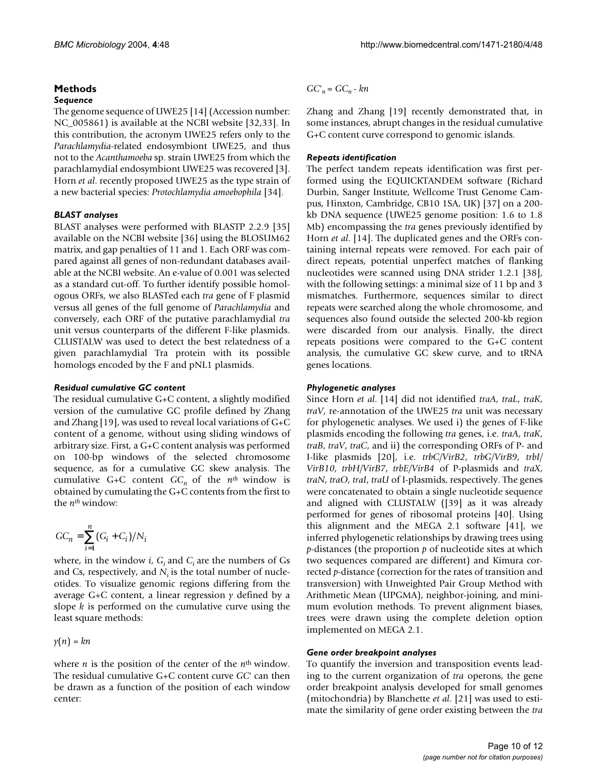#### **Methods** *Sequence*

The genome sequence of UWE25 [14] (Accession number: NC\_005861) is available at the NCBI website [32,33]. In this contribution, the acronym UWE25 refers only to the *Parachlamydia*-related endosymbiont UWE25, and thus not to the *Acanthamoeba* sp. strain UWE25 from which the parachlamydial endosymbiont UWE25 was recovered [3]. Horn *et al*. recently proposed UWE25 as the type strain of a new bacterial species: *Protochlamydia amoebophila* [34].

### *BLAST analyses*

BLAST analyses were performed with BLASTP 2.2.9 [35] available on the NCBI website [36] using the BLOSUM62 matrix, and gap penalties of 11 and 1. Each ORF was compared against all genes of non-redundant databases available at the NCBI website. An e-value of 0.001 was selected as a standard cut-off. To further identify possible homologous ORFs, we also BLASTed each *tra* gene of F plasmid versus all genes of the full genome of *Parachlamydia* and conversely, each ORF of the putative parachlamydial *tra* unit versus counterparts of the different F-like plasmids. CLUSTALW was used to detect the best relatedness of a given parachlamydial Tra protein with its possible homologs encoded by the F and pNL1 plasmids.

#### *Residual cumulative GC content*

The residual cumulative G+C content, a slightly modified version of the cumulative GC profile defined by Zhang and Zhang [19], was used to reveal local variations of  $G+C$ content of a genome, without using sliding windows of arbitrary size. First, a G+C content analysis was performed on 100-bp windows of the selected chromosome sequence, as for a cumulative GC skew analysis. The cumulative G+C content  $GC_n$  of the  $n^{th}$  window is obtained by cumulating the G+C contents from the first to the *nth* window:

$$
GC_n = \sum_{i=1}^n (G_i + C_i)/N_i
$$

where, in the window *i*,  $G_i$  and  $C_i$  are the numbers of Gs and Cs, respectively, and  $N_i$  is the total number of nucleotides. To visualize genomic regions differing from the average G+C content, a linear regression *y* defined by a slope *k* is performed on the cumulative curve using the least square methods:

 $y(n) = kn$ 

where *n* is the position of the center of the *n*<sup>th</sup> window. The residual cumulative G+C content curve *GC*' can then be drawn as a function of the position of each window center:

 $GC<sub>n</sub> = GC<sub>n</sub> - kn$ 

Zhang and Zhang [19] recently demonstrated that, in some instances, abrupt changes in the residual cumulative G+C content curve correspond to genomic islands.

#### *Repeats identification*

The perfect tandem repeats identification was first performed using the EQUICKTANDEM software (Richard Durbin, Sanger Institute, Wellcome Trust Genome Campus, Hinxton, Cambridge, CB10 1SA, UK) [37] on a 200 kb DNA sequence (UWE25 genome position: 1.6 to 1.8 Mb) encompassing the *tra* genes previously identified by Horn *et al*. [14]. The duplicated genes and the ORFs containing internal repeats were removed. For each pair of direct repeats, potential unperfect matches of flanking nucleotides were scanned using DNA strider 1.2.1 [38], with the following settings: a minimal size of 11 bp and 3 mismatches. Furthermore, sequences similar to direct repeats were searched along the whole chromosome, and sequences also found outside the selected 200-kb region were discarded from our analysis. Finally, the direct repeats positions were compared to the G+C content analysis, the cumulative GC skew curve, and to tRNA genes locations.

#### *Phylogenetic analyses*

Since Horn *et al*. [14] did not identified *traA*, *traL*, *traK*, *traV*, re-annotation of the UWE25 *tra* unit was necessary for phylogenetic analyses. We used i) the genes of F-like plasmids encoding the following *tra* genes, i.e. *traA*, *traK*, *traB*, *traV*, *traC*, and ii) the corresponding ORFs of P- and I-like plasmids [20], i.e. *trbC/VirB2*, *trbG/VirB9*, *trbI/ VirB10*, *trbH/VirB7*, *trbE/VirB4* of P-plasmids and *traX*, *traN*, *traO*, *traI*, *traU* of I-plasmids, respectively. The genes were concatenated to obtain a single nucleotide sequence and aligned with CLUSTALW ([39] as it was already performed for genes of ribosomal proteins [40]. Using this alignment and the MEGA 2.1 software [41], we inferred phylogenetic relationships by drawing trees using *p*-distances (the proportion *p* of nucleotide sites at which two sequences compared are different) and Kimura corrected *p*-distance (correction for the rates of transition and transversion) with Unweighted Pair Group Method with Arithmetic Mean (UPGMA), neighbor-joining, and minimum evolution methods. To prevent alignment biases, trees were drawn using the complete deletion option implemented on MEGA 2.1.

#### *Gene order breakpoint analyses*

To quantify the inversion and transposition events leading to the current organization of *tra* operons, the gene order breakpoint analysis developed for small genomes (mitochondria) by Blanchette *et al*. [21] was used to estimate the similarity of gene order existing between the *tra*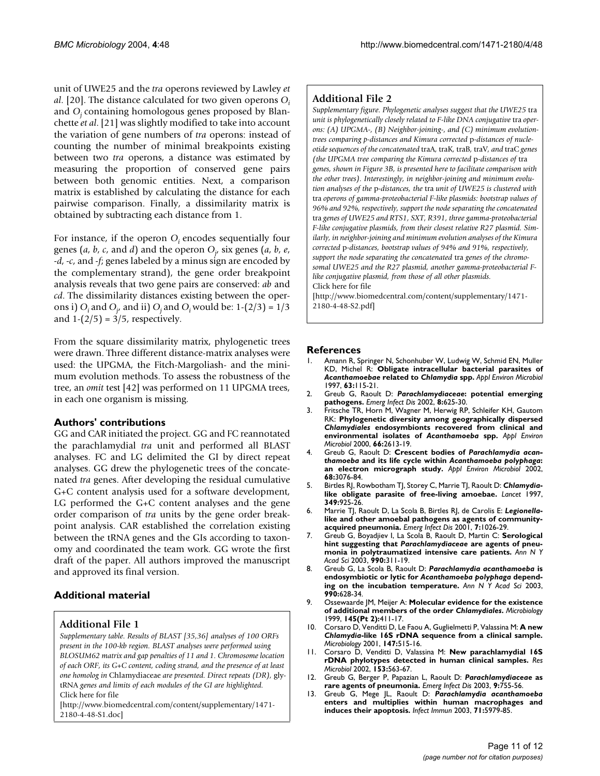unit of UWE25 and the *tra* operons reviewed by Lawley *et al*. [20]. The distance calculated for two given operons *O<sup>i</sup>* and *Oj* containing homologous genes proposed by Blanchette *et al*. [21] was slightly modified to take into account the variation of gene numbers of *tra* operons: instead of counting the number of minimal breakpoints existing between two *tra* operons, a distance was estimated by measuring the proportion of conserved gene pairs between both genomic entities. Next, a comparison matrix is established by calculating the distance for each pairwise comparison. Finally, a dissimilarity matrix is obtained by subtracting each distance from 1.

For instance, if the operon  $O_i$  encodes sequentially four genes (*a*, *b*, *c*, and *d*) and the operon *O<sup>j</sup>* , six genes (*a*, *b*, *e*, *-d*, *-c*, and *-f*; genes labeled by a minus sign are encoded by the complementary strand), the gene order breakpoint analysis reveals that two gene pairs are conserved: *ab* and *cd*. The dissimilarity distances existing between the operons i)  $O_i$  and  $O_j$  and ii)  $O_j$  and  $O_i$  would be: 1-(2/3) = 1/3 and  $1-(2/5) = 3/5$ , respectively.

From the square dissimilarity matrix, phylogenetic trees were drawn. Three different distance-matrix analyses were used: the UPGMA, the Fitch-Margoliash- and the minimum evolution methods. To assess the robustness of the tree, an *omit* test [42] was performed on 11 UPGMA trees, in each one organism is missing.

### **Authors' contributions**

GG and CAR initiated the project. GG and FC reannotated the parachlamydial *tra* unit and performed all BLAST analyses. FC and LG delimited the GI by direct repeat analyses. GG drew the phylogenetic trees of the concatenated *tra* genes. After developing the residual cumulative G+C content analysis used for a software development, LG performed the G+C content analyses and the gene order comparison of *tra* units by the gene order breakpoint analysis. CAR established the correlation existing between the tRNA genes and the GIs according to taxonomy and coordinated the team work. GG wrote the first draft of the paper. All authors improved the manuscript and approved its final version.

# **Additional material**

## **Additional File 1**

*Supplementary table. Results of BLAST [35,36] analyses of 100 ORFs present in the 100-kb region. BLAST analyses were performed using BLOSUM62 matrix and gap penalties of 11 and 1. Chromosome location of each ORF, its G+C content, coding strand, and the presence of at least one homolog in* Chlamydiaceae *are presented. Direct repeats (DR),* glytRNA *genes and limits of each modules of the GI are highlighted.* Click here for file

[\[http://www.biomedcentral.com/content/supplementary/1471-](http://www.biomedcentral.com/content/supplementary/1471-2180-4-48-S1.doc) 2180-4-48-S1.doc]

## **Additional File 2**

*Supplementary figure. Phylogenetic analyses suggest that the UWE25* tra *unit is phylogenetically closely related to F-like DNA conjugative tra operons: (A) UPGMA-, (B) Neighbor-joining-, and (C) minimum evolutiontrees comparing p-distances and Kimura corrected* p*-distances of nucleotide sequences of the concatenated* traA*,* traK*,* traB*,* traV*, and* traC *genes (the UPGMA tree comparing the Kimura corrected* p*-distances of* tra *genes, shown in Figure [3B](#page-8-0), is presented here to facilitate comparison with the other trees). Interestingly, in neighbor-joining and minimum evolution analyses of the* p*-distances, the* tra *unit of UWE25 is clustered with*  tra *operons of gamma-proteobacterial F-like plasmids: bootstrap values of 96% and 92%, respectively, support the node separating the concatenated*  tra *genes of UWE25 and RTS1, SXT, R391, three gamma-proteobacterial F-like conjugative plasmids, from their closest relative R27 plasmid. Similarly, in neighbor-joining and minimum evolution analyses of the Kimura corrected* p*-distances, bootstrap values of 94% and 91%, respectively, support the node separating the concatenated* tra *genes of the chromosomal UWE25 and the R27 plasmid, another gamma-proteobacterial Flike conjugative plasmid, from those of all other plasmids.* Click here for file

[\[http://www.biomedcentral.com/content/supplementary/1471-](http://www.biomedcentral.com/content/supplementary/1471-2180-4-48-S2.pdf) 2180-4-48-S2.pdf]

#### **References**

- 1. Amann R, Springer N, Schonhuber W, Ludwig W, Schmid EN, Muller KD, Michel R: **Obligate intracellular bacterial parasites of** *Acanthamoebae* **related to** *Chlamydia* **[spp.](http://www.ncbi.nlm.nih.gov/entrez/query.fcgi?cmd=Retrieve&db=PubMed&dopt=Abstract&list_uids=8979345)** *Appl Environ Microbiol* 1997, **63:**115-21.
- <span id="page-11-0"></span>2. Greub G, Raoult D: *Parachlamydiaceae***[: potential emerging](http://www.ncbi.nlm.nih.gov/entrez/query.fcgi?cmd=Retrieve&db=PubMed&dopt=Abstract&list_uids=12023921) [pathogens.](http://www.ncbi.nlm.nih.gov/entrez/query.fcgi?cmd=Retrieve&db=PubMed&dopt=Abstract&list_uids=12023921)** *Emerg Infect Dis* 2002, **8:**625-30.
- 3. Fritsche TR, Horn M, Wagner M, Herwig RP, Schleifer KH, Gautom RK: **Phylogenetic diversity among geographically dispersed** *Chlamydiales* **endosymbionts recovered from clinical and environmental isolates of** *Acanthamoeba* **[spp.](http://www.ncbi.nlm.nih.gov/entrez/query.fcgi?cmd=Retrieve&db=PubMed&dopt=Abstract&list_uids=10831445)** *Appl Environ Microbiol* 2000, **66:**2613-19.
- 4. Greub G, Raoult D: **Crescent bodies of** *Parachlamydia acanthamoeba* **and its life cycle within** *Acanthamoeba polyphaga***[:](http://www.ncbi.nlm.nih.gov/entrez/query.fcgi?cmd=Retrieve&db=PubMed&dopt=Abstract&list_uids=12039769) [an electron micrograph study.](http://www.ncbi.nlm.nih.gov/entrez/query.fcgi?cmd=Retrieve&db=PubMed&dopt=Abstract&list_uids=12039769)** *Appl Environ Microbiol* 2002, **68:**3076-84.
- <span id="page-11-1"></span>5. Birtles RJ, Rowbotham TJ, Storey C, Marrie TJ, Raoult D: *Chlamydia***[like obligate parasite of free-living amoebae.](http://www.ncbi.nlm.nih.gov/entrez/query.fcgi?cmd=Retrieve&db=PubMed&dopt=Abstract&list_uids=9093261)** *Lancet* 1997, **349:**925-26.
- <span id="page-11-2"></span>6. Marrie TJ, Raoult D, La Scola B, Birtles RJ, de Carolis E: *Legionella***[like and other amoebal pathogens as agents of community](http://www.ncbi.nlm.nih.gov/entrez/query.fcgi?cmd=Retrieve&db=PubMed&dopt=Abstract&list_uids=11747734)[acquired pneumonia.](http://www.ncbi.nlm.nih.gov/entrez/query.fcgi?cmd=Retrieve&db=PubMed&dopt=Abstract&list_uids=11747734)** *Emerg Infect Dis* 2001, **7:**1026-29.
- <span id="page-11-3"></span>7. Greub G, Boyadjiev I, La Scola B, Raoult D, Martin C: **Serological hint suggesting that** *Parachlamydiaceae* **[are agents of pneu](http://www.ncbi.nlm.nih.gov/entrez/query.fcgi?cmd=Retrieve&db=PubMed&dopt=Abstract&list_uids=12860644)[monia in polytraumatized intensive care patients.](http://www.ncbi.nlm.nih.gov/entrez/query.fcgi?cmd=Retrieve&db=PubMed&dopt=Abstract&list_uids=12860644)** *Ann N Y Acad Sci* 2003, **990:**311-19.
- <span id="page-11-4"></span>8. Greub G, La Scola B, Raoult D: *Parachlamydia acanthamoeba* **is endosymbiotic or lytic for** *Acanthamoeba polyphaga* **[depend](http://www.ncbi.nlm.nih.gov/entrez/query.fcgi?cmd=Retrieve&db=PubMed&dopt=Abstract&list_uids=12860700)[ing on the incubation temperature.](http://www.ncbi.nlm.nih.gov/entrez/query.fcgi?cmd=Retrieve&db=PubMed&dopt=Abstract&list_uids=12860700)** *Ann N Y Acad Sci* 2003, **990:**628-34.
- 9. Ossewaarde JM, Meijer A: **Molecular evidence for the existence of additional members of the order** *Chlamydiales***[.](http://www.ncbi.nlm.nih.gov/entrez/query.fcgi?cmd=Retrieve&db=PubMed&dopt=Abstract&list_uids=10075423)** *Microbiology* 1999, **145(Pt 2):**411-17.
- 10. Corsaro D, Venditti D, Le Faou A, Guglielmetti P, Valassina M: **A new** *Chlamydia***[-like 16S rDNA sequence from a clinical sample.](http://www.ncbi.nlm.nih.gov/entrez/query.fcgi?cmd=Retrieve&db=PubMed&dopt=Abstract&list_uids=11238957)** *Microbiology* 2001, **147:**515-16.
- 11. Corsaro D, Venditti D, Valassina M: **[New parachlamydial 16S](http://www.ncbi.nlm.nih.gov/entrez/query.fcgi?cmd=Retrieve&db=PubMed&dopt=Abstract&list_uids=12455703) [rDNA phylotypes detected in human clinical samples.](http://www.ncbi.nlm.nih.gov/entrez/query.fcgi?cmd=Retrieve&db=PubMed&dopt=Abstract&list_uids=12455703)** *Res Microbiol* 2002, **153:**563-67.
- <span id="page-11-5"></span>12. Greub G, Berger P, Papazian L, Raoult D: *Parachlamydiaceae* **[as](http://www.ncbi.nlm.nih.gov/entrez/query.fcgi?cmd=Retrieve&db=PubMed&dopt=Abstract&list_uids=12781026) [rare agents of pneumonia.](http://www.ncbi.nlm.nih.gov/entrez/query.fcgi?cmd=Retrieve&db=PubMed&dopt=Abstract&list_uids=12781026)** *Emerg Infect Dis* 2003, **9:**755-56.
- 13. Greub G, Mege JL, Raoult D: *Parachlamydia acanthamoeba* **[enters and multiplies within human macrophages and](http://www.ncbi.nlm.nih.gov/entrez/query.fcgi?cmd=Retrieve&db=PubMed&dopt=Abstract&list_uids=14500518) [induces their apoptosis.](http://www.ncbi.nlm.nih.gov/entrez/query.fcgi?cmd=Retrieve&db=PubMed&dopt=Abstract&list_uids=14500518)** *Infect Immun* 2003, **71:**5979-85.